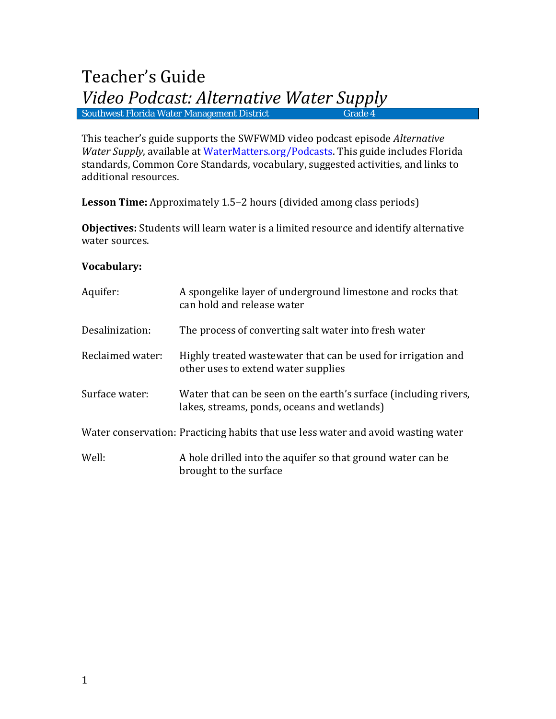This teacher's guide supports the SWFWMD video podcast episode *Alternative Water Supply*, available at [WaterMatters.org/Podcasts.](http://www.watermatters.org/Podcasts) This guide includes Florida standards, Common Core Standards, vocabulary, suggested activities, and links to additional resources.

**Lesson Time:** Approximately 1.5–2 hours (divided among class periods)

**Objectives:** Students will learn water is a limited resource and identify alternative water sources.

## **Vocabulary:**

| Aquifer:         | A spongelike layer of underground limestone and rocks that<br>can hold and release water                        |
|------------------|-----------------------------------------------------------------------------------------------------------------|
| Desalinization:  | The process of converting salt water into fresh water                                                           |
| Reclaimed water: | Highly treated wastewater that can be used for irrigation and<br>other uses to extend water supplies            |
| Surface water:   | Water that can be seen on the earth's surface (including rivers,<br>lakes, streams, ponds, oceans and wetlands) |
|                  | Water conservation: Practicing habits that use less water and avoid wasting water                               |
| Well:            | A hole drilled into the aquifer so that ground water can be<br>brought to the surface                           |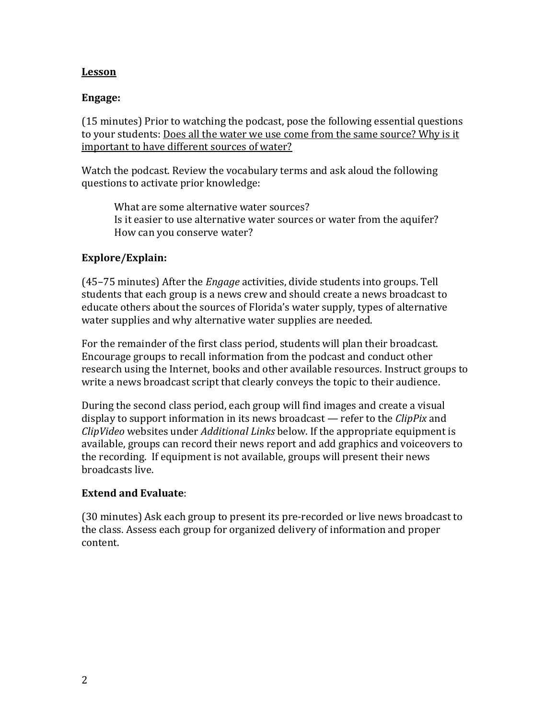## **Lesson**

#### **Engage:**

(15 minutes) Prior to watching the podcast, pose the following essential questions to your students: Does all the water we use come from the same source? Why is it important to have different sources of water?

Watch the podcast. Review the vocabulary terms and ask aloud the following questions to activate prior knowledge:

What are some alternative water sources? Is it easier to use alternative water sources or water from the aquifer? How can you conserve water?

## **Explore/Explain:**

(45–75 minutes) After the *Engage* activities, divide students into groups. Tell students that each group is a news crew and should create a news broadcast to educate others about the sources of Florida's water supply, types of alternative water supplies and why alternative water supplies are needed.

For the remainder of the first class period, students will plan their broadcast. Encourage groups to recall information from the podcast and conduct other research using the Internet, books and other available resources. Instruct groups to write a news broadcast script that clearly conveys the topic to their audience.

During the second class period, each group will find images and create a visual display to support information in its news broadcast — refer to the *ClipPix* and *ClipVideo* websites under *Additional Links* below. If the appropriate equipment is available, groups can record their news report and add graphics and voiceovers to the recording. If equipment is not available, groups will present their news broadcasts live.

#### **Extend and Evaluate**:

(30 minutes) Ask each group to present its pre-recorded or live news broadcast to the class. Assess each group for organized delivery of information and proper content.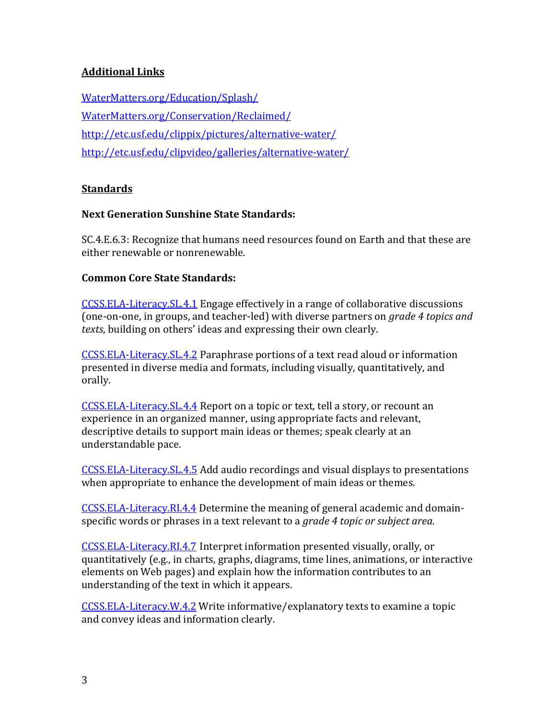# **Additional Links**

[WaterMatters.org/Education/Splash/](http://www.watermatters.org/education/splash/) [WaterMatters.org/Conservation/Reclaimed/](http://www.watermatters.org/conservation/reclaimed/) <http://etc.usf.edu/clippix/pictures/alternative-water/> <http://etc.usf.edu/clipvideo/galleries/alternative-water/>

## **Standards**

#### **Next Generation Sunshine State Standards:**

SC.4.E.6.3: Recognize that humans need resources found on Earth and that these are either renewable or nonrenewable.

#### **Common Core State Standards:**

[CCSS.ELA-Literacy.SL.4.1](http://www.corestandards.org/ELA-Literacy/SL/4/1/) Engage effectively in a range of collaborative discussions (one-on-one, in groups, and teacher-led) with diverse partners on *grade 4 topics and texts*, building on others' ideas and expressing their own clearly.

[CCSS.ELA-Literacy.SL.4.2](http://www.corestandards.org/ELA-Literacy/SL/4/2/) Paraphrase portions of a text read aloud or information presented in diverse media and formats, including visually, quantitatively, and orally.

[CCSS.ELA-Literacy.SL.4.4](http://www.corestandards.org/ELA-Literacy/SL/4/4/) Report on a topic or text, tell a story, or recount an experience in an organized manner, using appropriate facts and relevant, descriptive details to support main ideas or themes; speak clearly at an understandable pace.

[CCSS.ELA-Literacy.SL.4.5](http://www.corestandards.org/ELA-Literacy/SL/4/5/) Add audio recordings and visual displays to presentations when appropriate to enhance the development of main ideas or themes.

[CCSS.ELA-Literacy.RI.4.4](http://www.corestandards.org/ELA-Literacy/RI/4/4/) Determine the meaning of general academic and domainspecific words or phrases in a text relevant to a *grade 4 topic or subject area*.

[CCSS.ELA-Literacy.RI.4.7](http://www.corestandards.org/ELA-Literacy/RI/4/7/) Interpret information presented visually, orally, or quantitatively (e.g., in charts, graphs, diagrams, time lines, animations, or interactive elements on Web pages) and explain how the information contributes to an understanding of the text in which it appears.

[CCSS.ELA-Literacy.W.4.2](http://www.corestandards.org/ELA-Literacy/W/4/2/) Write informative/explanatory texts to examine a topic and convey ideas and information clearly.